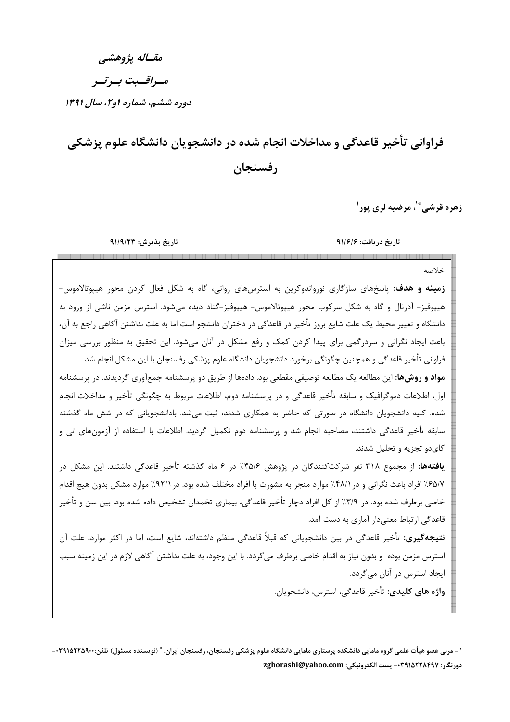مقساله يژوهشي

مسراقسبت بسرتسر

دوره ششم، شماره او ۲، سال ۱۳۹۱

# فراوانی تأخیر قاعدگی و مداخلات انجام شده در دانشجویان دانشگاه علوم پزشکی رفسنجان

زهره قرشي <sup>»</sup>'، مرضيه لري پور'

خلاصه

تاريخ پذيرش: ٩١/٩/٢٣

تار یخ در یافت: ۹۱/۶/۶

قاعدگی ارتباط معنیدار آماری به دست آمد.

زمینه و هدف: پاسخهای سازگاری نورواندوکرین به استرسهای روانی، گاه به شکل فعال کردن محور هیپوتالاموس-هیپوفیز- آدرنال و گاه به شکل سرکوب محور هیپوتالاموس- هیپوفیز-گناد دیده میشود. استرس مزمن ناشی از ورود به دانشگاه و تغییر محیط یک علت شایع بروز تأخیر در قاعدگی در دختران دانشجو است اما به علت نداشتن آگاهی راجع به آن، باعث ایجاد نگرانی و سردرگمی برای پیدا کردن کمک و رفع مشکل در آنان میشود. این تحقیق به منظور بررسی میزان فراوانی تأخیر قاعدگی و همچنین چگونگی برخورد دانشجویان دانشگاه علوم پزشکی رفسنجان با این مشکل انجام شد. **مواد و روشها:** این مطالعه یک مطالعه توصیفی مقطعی بود. دادهها از طریق دو پرسشنامه جمعآوری گردیدند. در پرسشنامه اول، اطلاعات دموگرافیک و سابقه تأخیر قاعدگی و در پرسشنامه دوم، اطلاعات مربوط به چگونگی تأخیر و مداخلات انجام شده. کلیه دانشجویان دانشگاه در صورتی که حاضر به همکاری شدند، ثبت میشد. بادانشجویانی که در شش ماه گذشته سابقه تأخیر قاعدگی داشتند، مصاحبه انجام شد و پرسشنامه دوم تکمیل گردید. اطلاعات با استفاده از آزمونهای تی و کای دو تجزیه و تحلیل شدند. **یافتهها:** از مجموع ۳۱۸ نفر شرکتکنندگان در پژوهش ۴۵/۶٪ در ۶ ماه گذشته تأخیر قاعدگی داشتند. این مشکل در ۶۵/۷٪ افراد باعث نگرانی و در ۴۸/۱٪ موارد منجر به مشورت با افراد مختلف شده بود. در ۹۲/۱٪ موارد مشکل بدون هیچ اقدام خاصی برطرف شده بود. در ۳/۹٪ از کل افراد دچار تأخیر قاعدگی، بیماری تخمدان تشخیص داده شده بود. بین سن و تأخیر

**نتیجهگیری:** تأخیر قاعدگی در بین دانشجویانی که قبلاً قاعدگی منظم داشتهاند، شایع است، اما در اکثر موارد، علت آن استرس مزمن بوده و بدون نیاز به اقدام خاصی برطرف میگردد. با این وجود، به علت نداشتن آگاهی لازم در این زمینه سبب ایجاد استرس در آنان میگردد. واژه های کلیدی: تأخیر قاعدگی، استرس، دانشجویان.

۰ – مربی عضو هیأت علمی گروه مامایی دانشکده پرستاری مامایی دانشگاه علوم پزشکی رفسنجان، رفسنجان ایران. \* (نویسنده مسئول) تلفن:۲۹۱۵۲۲۵۹۰۰-دورنگار: ۰۳۹۱۵۲۲۸۴۹۷- پست الکترونیکی: zghorashi@yahoo.com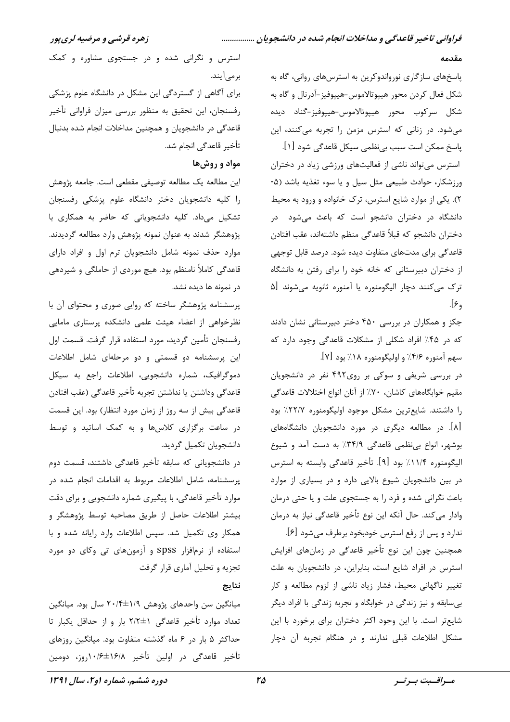#### مقدمه

پاسخهای سازگاری نورواندوکرین به استرسهای روانی، گاه به شکل فعال کردن محور هیپوتالاموس-هیپوفیز-آدرنال و گاه به شكل سركوب محور هيپوتالاموس-هيپوفيز-گناد ديده می شود. در زنانی که استرس مزمن را تجربه میکنند، این

پاسخ ممکن است سبب بینظمی سیکل قاعدگی شود [۱]. استرس می تواند ناشی از فعالیتهای ورزشی زیاد در دختران ورزشكار، حوادث طبيعي مثل سيل ويا سوء تغذيه باشد (۵-٢). یکی از موارد شایع استرس، ترک خانواده و ورود به محیط دانشگاه در دختران دانشجو است که باعث میشود در دختران دانشجو كه قبلاً قاعدگي منظم داشتهاند، عقب افتادن قاعدگی برای مدتهای متفاوت دیده شود. درصد قابل توجهی از دختران دبیرستانی که خانه خود را برای رفتن به دانشگاه ترک میکنند دچار الیگومنوره یا آمنوره ثانویه میشوند [۵  $[\epsilon,$ 

جکز و همکاران در بررسی ۴۵۰ دختر دبیرستانی نشان دادند که در ۴۵٪ افراد شکلی از مشکلات قاعدگی وجود دارد که سهم آمنوره ۴/۶٪ و اولیگومنوره ۱۸٪ بود [۷].

در بررسی شریفی و سوکی بر روی۴۹۲ نفر در دانشجویان مقيم خوابگاههاي كاشان، ٧٠٪ از آنان انواع اختلالات قاعدگي را داشتند. شایعترین مشکل موجود اولیگومنوره ۲۲/۷٪ بود [۸]. در مطالعه دیگری در مورد دانشجویان دانشگاههای بوشهر، انواع بی نظمی قاعدگی ۳۴/۹٪ به دست آمد و شیوع اليگومنوره ١١/٤٪ بود [٩]. تأخير قاعدگي وابسته به استرس در بین دانشجویان شیوع بالایی دارد و در بسیاری از موارد باعث نگرانی شده و فرد را به جستجوی علت و یا حتی درمان وادار میکند. حال آنکه این نوع تأخیر قاعدگی نیاز به درمان

ندارد و پس از رفع استرس خودبخود برطرف میشود [۶]. همچنین چون این نوع تأخیر قاعدگی در زمانهای افزایش استرس در افراد شایع است، بنابراین، در دانشجویان به علت تغییر ناگهانی محیط، فشار زیاد ناشی از لزوم مطالعه و کار بی سابقه و نیز زندگی در خوابگاه و تجربه زندگی با افراد دیگر شايعتر است. با اين وجود اكثر دختران براي برخورد با اين مشکل اطلاعات قبلی ندارند و در هنگام تجربه آن دچار

استرس و نگرانی شده و در جستجوی مشاوره و کمک بر می آیند.

برای آگاهی از گستردگی این مشکل در دانشگاه علوم پزشکی رفسنجان، این تحقیق به منظور بررسی میزان فراوانی تأخیر قاعدگی در دانشجویان و همچنین مداخلات انجام شده بدنبال تأخير قاعدگي انجام شد.

#### مواد و روشها

اين مطالعه يک مطالعه توصيفي مقطعي است. جامعه پژوهش را كليه دانشجويان دختر دانشگاه علوم پزشكى رفسنجان تشکیل میداد. کلیه دانشجویانی که حاضر به همکاری با پژوهشگر شدند به عنوان نمونه پژوهش وارد مطالعه گردیدند. موارد حذف نمونه شامل دانشجويان ترم اول و افراد داراى قاعدگی کاملاً نامنظم بود. هیچ موردی از حاملگی و شیردهی در نمونه ها دیده نشد.

پرسشنامه پژوهشگر ساخته که روایی صوری و محتوای آن با نظرخواهی از اعضاء هیئت علمی دانشکده پرستاری مامایی رفسنجان تأمين گرديد، مورد استفاده قرار گرفت. قسمت اول این پرسشنامه دو قسمتی و دو مرحلهای شامل اطلاعات دموگرافیک، شماره دانشجویی، اطلاعات راجع به سیکل قاعدگي وداشتن يا نداشتن تجربه تأخير قاعدگي (عقب افتادن قاعدگی بیش از سه روز از زمان مورد انتظار) بود. این قسمت در ساعت برگزاری کلاسها و به کمک اساتید و توسط دانشجويان تكميل گرديد.

در دانشجویانی که سابقه تأخیر قاعدگی داشتند، قسمت دوم پرسشنامه، شامل اطلاعات مربوط به اقدامات انجام شده در موارد تأخیر قاعدگی، با پیگیری شماره دانشجویی و برای دقت بيشتر اطلاعات حاصل از طريق مصاحبه توسط پژوهشگر و همکار وی تکمیل شد. سپس اطلاعات وارد رایانه شده و با استفاده از نرمافزار spss و آزمونهای تی وکای دو مورد تجزیه و تحلیل آماری قرار گرفت

#### نتايج

میانگین سن واحدهای پژوهش ۱/۹±۲۰/۴ سال بود. میانگین تعداد موارد تأخير قاعدگي ٢/٢±١ بار و از حداقل يكبار تا حداکثر ۵ بار در ۶ ماه گذشته متفاوت بود. میانگین روزهای تأخير قاعدگي در اولين تأخير ١۶/٨±١٠/<u>و</u>ز، دومين

٢۵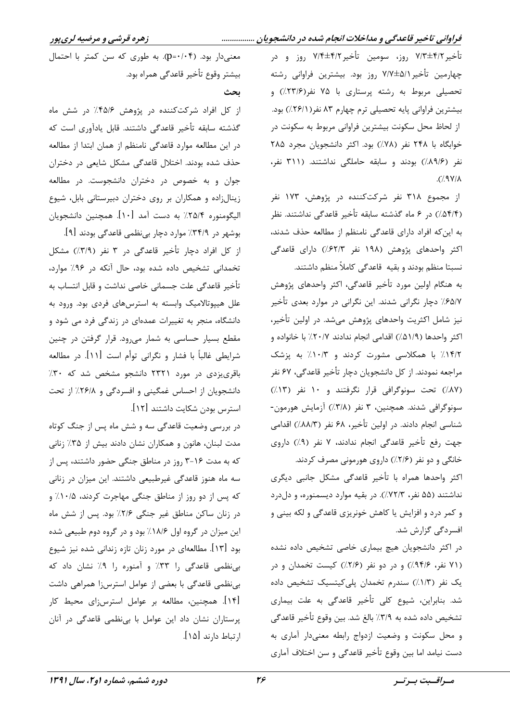#### فراوانی تاخیر قاعدگی و مداخلات انجام شده در دانشجویان ................

تأخير ٧/٣±٤/٢ روز، سومين تأخير ٧/٣±٤/٢ روز و در چهارمین تأخیر ٧/٧±٧/١ روز بود. بیشترین فراوانی رشته تحصیلی مربوط به رشته پرستاری با ۷۵ نفر(۲۳/۶٪) و بیشترین فراوانی پایه تحصیلی ترم چهارم ۸۳ نفر(۲۶/۱٪) بود. از لحاظ محل سکونت بیشترین فراوانی مربوط به سکونت در خوابگاه با ۲۴۸ نفر (۷۸٪) بود. اکثر دانشجویان مجرد ۲۸۵ نفر (۸۹/۶)) بودند و سابقه حاملگی نداشتند. (۳۱۱ نفر،  $\Lambda(Y/\Lambda)$ .

از مجموع ۳۱۸ نفر شرکتکننده در پژوهش، ۱۷۳ نفر (۵۴/۴٪) در ۶ ماه گذشته سابقه تأخیر قاعدگی نداشتند. نظر به این که افراد دارای قاعدگی نامنظم از مطالعه حذف شدند، اکثر واحدهای پژوهش (۱۹۸ نفر ۶۲/۳٪) دارای قاعدگی نسبتا منظم بودند و بقیه ِ قاعدگی کاملاً منظم داشتند.

به هنگام اولین مورد تأخیر قاعدگی، اکثر واحدهای پژوهش ۶۵/۷٪ دچار نگرانی شدند. این نگرانی در موارد بعدی تأخیر نیز شامل اکثریت واحدهای پژوهش میشد. در اولین تأخیر، اكثر واحدها (۵۱/۹٪) اقدامي انجام ندادند ۲۰/۷٪ با خانواده و ۱۴/۲٪ با همکلاسی مشورت کردند و ۱۰/۳٪ به پزشک مراجعه نمودند. از کل دانشجویان دچار تأخیر قاعدگی، ۶۷ نفر (۸۷٪) تحت سونوگرافی قرار نگرفتند و ۱۰ نفر (۱۳٪) سونوگرافی شدند. همچنین، ۳ نفر (۳/۸٪) آزمایش هورمون-شناسی انجام دادند. در اولین تأخیر، ۶۸ نفر (۸۸۸/۳/) اقدامی جهت رفع تأخير قاعدگي انجام ندادند، ٧ نفر (٩٪) داروي خانگی و دو نفر (۲/۶٪) داروی هورمونی مصرف کردند.

اکثر واحدها همراه با تأخیر قاعدگی مشکل جانبی دیگری نداشتند (۵۵ نفر، ۷۲/۳٪). در بقیه موارد دیسمنوره، و دلدرد و کمر درد و افزایش یا کاهش خونریزی قاعدگی و لکه بینی و افسردگی گزارش شد.

در اکثر دانشجویان هیچ بیماری خاصی تشخیص داده نشده (۷۱ نفر، ۹۴/۶٪) و در دو نفر (۲/۶٪) کیست تخمدان و در یک نفر (١/٣٪) سندرم تخمدان پلی کیتسیک تشخیص داده شد. بنابراین، شیوع کلی تأخیر قاعدگی به علت بیماری تشخيص داده شده به ٣/٩٪ بالغ شد. بين وقوع تأخير قاعدگي و محل سکونت و وضعیت ازدواج رابطه معنیدار آماری به دست نیامد اما بین وقوع تأخیر قاعدگی و سن اختلاف آماری

معنى دار بود. (p=٠/٠۴). به طورى كه سن كمتر با احتمال بيشتر وقوع تأخير قاعدگي همراه بود.

ىحث

از کل افراد شرکتکننده در پژوهش ۴۵/۶٪ در شش ماه گذشته سابقه تأخير قاعدگى داشتند. قابل يادآورى است كه در این مطالعه موارد قاعدگی نامنظم از همان ابتدا از مطالعه حذف شده بودند. اختلال قاعدگی مشکل شایعی در دختران جوان و به خصوص در دختران دانشجوست. در مطالعه زینالزاده و همکاران بر روی دختران دبیرستانی بابل، شیوع اليگومنوره ٢٥/٤٪ به دست آمد [١٠]. همچنين دانشجويان

بوشهر در ۳۴/۹٪ موارد دچار بینظمی قاعدگی بودند [۹]. از کل افراد دچار تأخیر قاعدگی در ۳ نفر (٣/٩/) مشکل تخمدانی تشخیص داده شده بود، حال آنکه در ۹۶٪ موارد، تأخير قاعدگي علت جسماني خاصي نداشت و قابل انتساب به علل هیپوتالامیک وابسته به استرسهای فردی بود. ورود به دانشگاه، منجر به تغییرات عمدهای در زندگی فرد می شود و مقطع بسیار حساسی به شمار می رود. قرار گرفتن در چنین شرايطي غالباً با فشار و نگراني توأم است [۱۱]. در مطالعه باقری یزدی در مورد ۲۳۲۱ دانشجو مشخص شد که ۳۰٪ دانشجویان از احساس غمگینی و افسردگی و ۲۶/۸٪ از تحت استرس بودن شكايت داشتند [١٢].

در بررسی وضعیت قاعدگی سه و شش ماه پس از جنگ کوتاه مدت لبنان، هانون و همكاران نشان دادند بيش از ٣۵٪ زناني که به مدت ۲-۲ روز در مناطق جنگی حضور داشتند، پس از سه ماه هنوز قاعدگی غیرطبیعی داشتند. این میزان در زنانی که پس از دو روز از مناطق جنگی مهاجرت کردند، ۰/۵٪ و در زنان ساكن مناطق غير جنگي ٢/۶٪ بود. پس از شش ماه این میزان در گروه اول ۱۸/۶٪ بود و در گروه دوم طبیعی شده بود [۱۳]. مطالعهای در مورد زنان تازه زندانی شده نیز شیوع بی نظمی قاعدگی را ۳۳٪ و آمنوره را ۹٪ نشان داد که بی نظمی قاعدگی با بعضی از عوامل استرسزا همراهی داشت [۱۴]. همچنین، مطالعه بر عوامل استرسزای محیط کار پرستاران نشان داد این عوامل با بی نظمی قاعدگی در آنان ارتباط دارند [۱۵].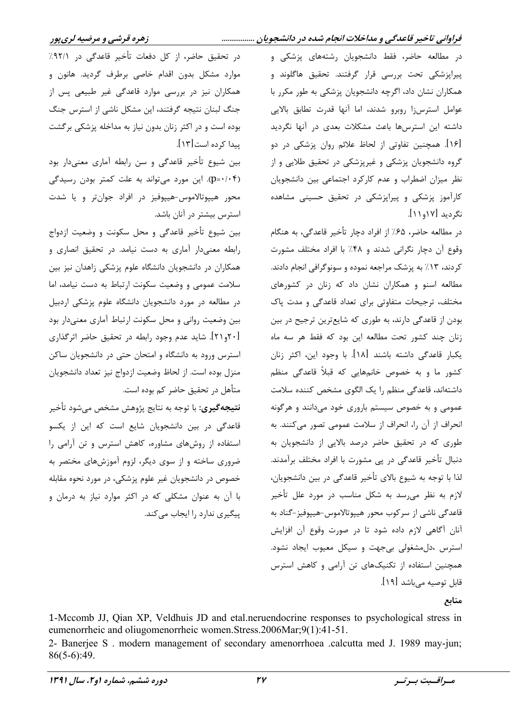فراوانی تاخیر قاعدگی و مداخلات انجام شده در دانشجویان ................

زهره قرشي و مرضيه لريپور

در مطالعه حاضر، فقط دانشجویان رشتههای پزشکی و پیراپزشکی تحت بررسی قرار گرفتند. تحقیق هاگلوند و همکاران نشان داد، اگرچه دانشجویان پزشکی به طور مکرر با عوامل استرس;ا روبرو شدند، اما آنها قدرت تطابق بالایی داشته این استرسها باعث مشکلات بعدی در آنها نگردید [۱۶]. همچنین تفاوتی از لحاظ علائم روان پزشکی در دو گروه دانشجویان پزشکی و غیرپزشکی در تحقیق طلایی و از نظر میزان اضطراب و عدم کارکرد اجتماعی بین دانشجویان کارآموز پزشکی و پیراپزشکی در تحقیق حسینی مشاهده نگردید [۱۱و۱۱].

در مطالعه حاضر، ۶۵٪ از افراد دچار تأخیر قاعدگی، به هنگام وقوع آن دچار نگرانی شدند و ۴۸٪ با افراد مختلف مشورت کردند، ۱۳٪ به پزشک مراجعه نموده و سونوگرافی انجام دادند. مطالعه اسنو و همکاران نشان داد که زنان در کشورهای مختلف، ترجیحات متفاوتی برای تعداد قاعدگی و مدت پاک بودن از قاعدگی دارند، به طوری که شایعترین ترجیح در بین زنان چند کشور تحت مطالعه این بود که فقط هر سه ماه یکبار قاعدگی داشته باشند [۱۸]. با وجود این، اکثر زنان کشور ما و به خصوص خانمهایی که قبلاً قاعدگی منظم داشتهاند، قاعدگی منظم را یک الگوی مشخص کننده سلامت عمومی و به خصوص سیستم باروری خود می دانند و هرگونه انحراف از آن را، انحراف از سلامت عمومی تصور میکنند. به طوری که در تحقیق حاضر درصد بالایی از دانشجویان به دنبال تأخير قاعدگي در يي مشورت با افراد مختلف برآمدند. لذا با توجه به شیوع بالای تأخیر قاعدگی در بین دانشجویان، لازم به نظر می رسد به شکل مناسب در مورد علل تأخیر قاعدگی ناشی از سرکوب محور هیپوتالاموس-هیپوفیز-گناد به آنان آگاهی لازم داده شود تا در صورت وقوع آن افزایش استرس ،دل مشغولی بی جهت و سیکل معیوب ایجاد نشود. همچنین استفاده از تکنیکهای تن آرامی و کاهش استرس قابل توصيه مے باشد [١٩]. منابع

در تحقیق حاضر، از کل دفعات تأخیر قاعدگی در ۹۲/۱٪ موارد مشكل بدون اقدام خاصى برطرف گرديد. هانون و همکاران نیز در بررسی موارد قاعدگی غیر طبیعی پس از جنگ لبنان نتیجه گرفتند، این مشکل ناشی از استرس جنگ بوده است و در اکثر زنان بدون نیاز به مداخله پزشکی برگشت ییدا کرده است[۱۳].

بین شیوع تأخیر قاعدگی و سن رابطه آماری معنیدار بود (p=٠/٠۴). این مورد میتواند به علت کمتر بودن رسیدگی محور هيپوتالاموس-هيپوفيز در افراد جوانتر و يا شدت استرس بیشتر در آنان باشد.

بين شيوع تأخير قاعدگي و محل سكونت و وضعيت ازدواج رابطه معنی دار آماری به دست نیامد. در تحقیق انصاری و همکاران در دانشجویان دانشگاه علوم پزشکی زاهدان نیز بین سلامت عمومی و وضعیت سکونت ارتباط به دست نیامد، اما در مطالعه در مورد دانشجویان دانشگاه علوم پزشکی اردبیل بین وضعیت روانی و محل سکونت ارتباط آماری معنیدار بود [۲۰]. شاید عدم وجود رابطه در تحقیق حاضر اثرگذاری استرس ورود به دانشگاه و امتحان حتی در دانشجویان ساکن منزل بوده است. از لحاظ وضعیت ازدواج نیز تعداد دانشجویان متأهل در تحقیق حاضر کم بوده است.

**نتيجه گيري**: با توجه به نتايج پژوهش مشخص مي شود تأخير قاعدگی در بین دانشجویان شایع است که این از یکسو استفاده از روشهای مشاوره، کاهش استرس و تن آرامی را ضروری ساخته و از سوی دیگر، لزوم آموزشهای مختصر به خصوص در دانشجويان غير علوم پزشكي، در مورد نحوه مقابله با آن به عنوان مشکلی که در اکثر موارد نیاز به درمان و ییگیری ندارد را ایجاب می کند.

1-Mccomb JJ, Qian XP, Veldhuis JD and etal.neruendocrine responses to psychological stress in eumenorrheic and oliugomenorrheic women.Stress.2006Mar;9(1):41-51. 2- Banerjee S. modern management of secondary amenorrhoea .calcutta med J. 1989 may-jun;  $86(5-6):49$ .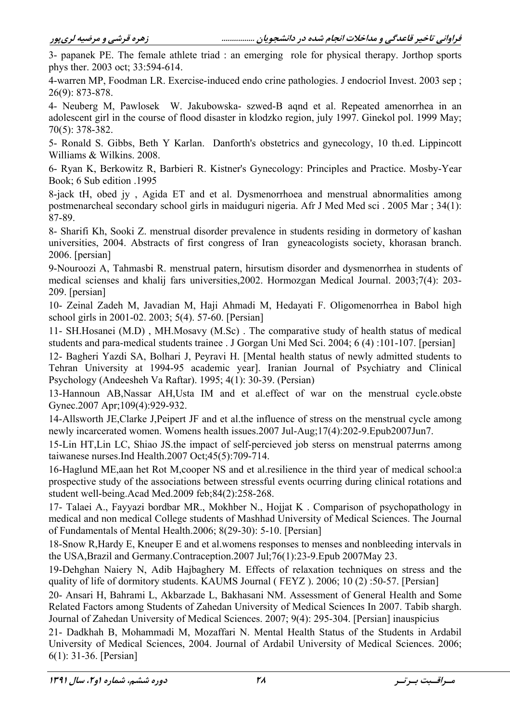3- papanek PE. The female athlete triad : an emerging role for physical therapy. Jorthop sports phys ther. 2003 oct; 33:594-614.

4-warren MP, Foodman LR. Exercise-induced endo crine pathologies. J endocriol Invest. 2003 sep;  $26(9)$ : 873-878.

4- Neuberg M, Pawlosek W. Jakubowska- szwed-B aqnd et al. Repeated amenorrhea in an adolescent girl in the course of flood disaster in klodzko region, july 1997. Ginekol pol. 1999 May;  $70(5)$ : 378-382.

5- Ronald S. Gibbs, Beth Y Karlan. Danforth's obstetrics and gynecology, 10 th.ed. Lippincott Williams & Wilkins, 2008.

6- Ryan K, Berkowitz R, Barbieri R. Kistner's Gynecology: Principles and Practice. Mosby-Year Book; 6 Sub edition .1995

8-jack tH, obed jy, Agida ET and et al. Dysmenorrhoea and menstrual abnormalities among postmenarcheal secondary school girls in maiduguri nigeria. Afr J Med Med sci. 2005 Mar; 34(1): 87-89.

8- Sharifi Kh, Sooki Z, menstrual disorder prevalence in students residing in dormetory of kashan universities, 2004. Abstracts of first congress of Iran gyneacologists society, khorasan branch. 2006. [persian]

9-Nouroozi A, Tahmasbi R. menstrual patern, hirsutism disorder and dysmenorrhea in students of medical scienses and khalij fars universities, 2002. Hormozgan Medical Journal. 2003; 7(4): 203-209. [persian]

10- Zeinal Zadeh M, Javadian M, Haji Ahmadi M, Hedayati F. Oligomenorrhea in Babol high school girls in 2001-02. 2003; 5(4). 57-60. [Persian]

11- SH.Hosanei (M.D), MH.Mosavy (M.Sc). The comparative study of health status of medical students and para-medical students trainee. J Gorgan Uni Med Sci. 2004; 6 (4):101-107. [persian]

12- Bagheri Yazdi SA, Bolhari J, Peyravi H. [Mental health status of newly admitted students to Tehran University at 1994-95 academic year]. Iranian Journal of Psychiatry and Clinical Psychology (Andeesheh Va Raftar), 1995; 4(1): 30-39. (Persian)

13-Hannoun AB, Nassar AH, Usta IM and et al. effect of war on the menstrual cycle. obste Gynec.2007 Apr;109(4):929-932.

14-Allsworth JE, Clarke J, Peipert JF and et al.the influence of stress on the menstrual cycle among newly incarcerated women. Womens health issues.2007 Jul-Aug;17(4):202-9.Epub2007Jun7.

15-Lin HT, Lin LC, Shiao JS the impact of self-percieved job sterss on menstrual paterns among taiwanese nurses.Ind Health. $2007$  Oct: $45(5)$ : $709-714$ .

16-Haglund ME, aan het Rot M, cooper NS and et al. resilience in the third year of medical school: a prospective study of the associations between stressful events ocurring during clinical rotations and student well-being. Acad Med. 2009 feb: 84(2): 258-268.

17- Talaei A., Fayyazi bordbar MR., Mokhber N., Hojiat K. Comparison of psychopathology in medical and non medical College students of Mashhad University of Medical Sciences. The Journal of Fundamentals of Mental Health.2006; 8(29-30): 5-10. [Persian]

18-Snow R, Hardy E, Kneuper E and et al. womens responses to menses and nonbleeding intervals in the USA, Brazil and Germany. Contraception. 2007 Jul; 76(1): 23-9. Epub 2007May 23.

19-Dehghan Naiery N, Adib Hajbaghery M. Effects of relaxation techniques on stress and the quality of life of dormitory students. KAUMS Journal (FEYZ). 2006; 10(2):50-57. [Persian]

20- Ansari H, Bahrami L, Akbarzade L, Bakhasani NM. Assessment of General Health and Some Related Factors among Students of Zahedan University of Medical Sciences In 2007. Tabib shargh. Journal of Zahedan University of Medical Sciences. 2007; 9(4): 295-304. [Persian] inauspicius

21- Dadkhah B, Mohammadi M, Mozaffari N. Mental Health Status of the Students in Ardabil University of Medical Sciences, 2004. Journal of Ardabil University of Medical Sciences. 2006;  $6(1)$ : 31-36. [Persian]